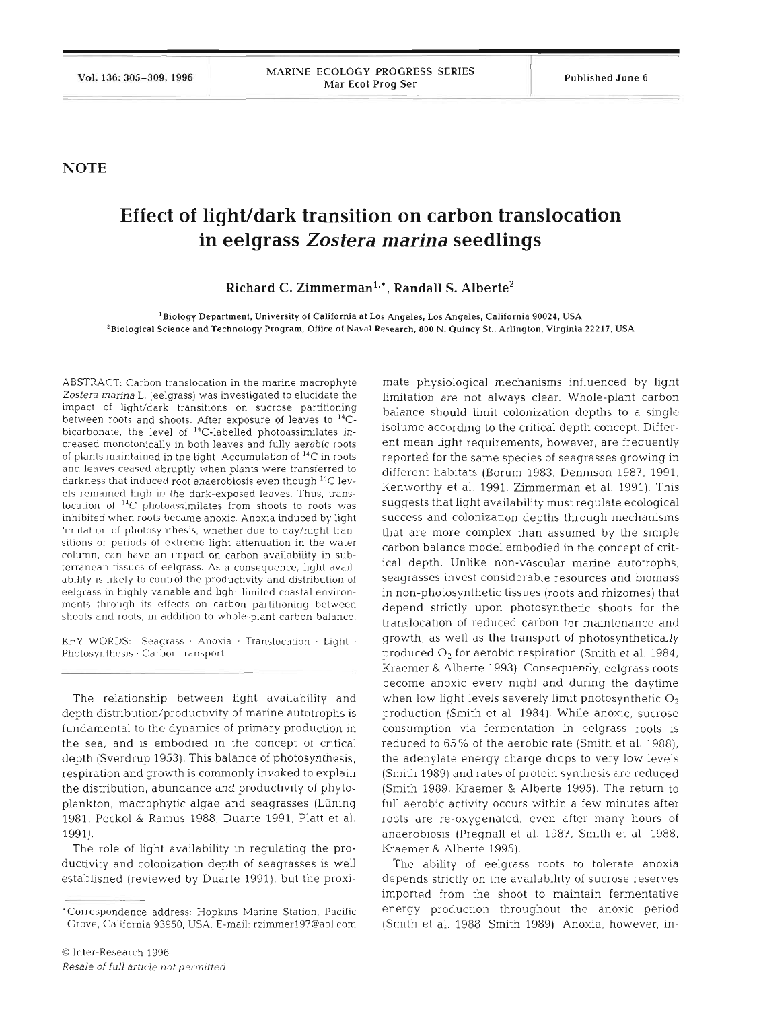**NOTE** 

## **Effect of light/dark transition on carbon translocation in eelgrass** *Zostera marina* **seedlings**

Richard C. Zimmerman<sup>1,\*</sup>, Randall S. Alberte<sup>2</sup>

**'Biology Department, University of California at Los Angeles, Los Angeles, California 90024, USA Z~iological Science and Technology Program, Office of Naval Research, 800 N. Quincy St., Arlington, Virginia 22217, USA** 

ABSTRACT. Carbon translocation in the marine macrophyte Zostera marina L. (eelgrass) was investigated to elucidate the impact of light/dark transitions on sucrose partitioning between roots and shoots. After exposure of leaves to **14C**bicarbonate, the level of  $14$ C-labelled photoassimilates increased monotonically in both leaves and fully aerobic roots of plants maintained in the light. Accumulation of **14C** in roots and leaves ceased abruptly when plants were transferred to darkness that induced root anaerobiosis even though  $^{14}$ C levels remained high in the dark-exposed leaves. Thus, translocation of <sup>14</sup>C photoassimilates from shoots to roots was inhibited when roots became anoxic. Anoxia induced by light limitation of photosynthesis, whether due to day/night transitions or periods of extreme light attenuation in the water column, can have an impact on carbon availability in subterranean tissues of eelgrass. As a consequence, light availability is likely to control the productivity and distribution of eelgrass in highly variable and light-limited coastal environments through its effects on carbon partitioning between shoots and roots, in addition to whole-plant carbon balance.

KEY WORDS: Seagrass Anoxia Translocation Light . Photosynthesis . Carbon transport

The relationship between light availability and depth distribution/productivity of marine autotrophs is fundamental to the dynamics of primary production in the sea, and is embodied in the concept of critical depth (Sverdrup 1953). This balance of photosynthesis, respiration and growth is commonly invoked to explain the distribution, abundance and productivity of phytoplankton, macrophytic algae and seagrasses (Liining 1981, Peck01 & Ramus 1988, Duarte 1991, Platt et al. 1991).

The role of light availability in regulating the productivity and colonization depth of seagrasses is well established (reviewed by Duarte 1991), but the proxi-

mate physiological mechanisms influenced by light limitation are not always clear. Whole-plant carbon balance should limit colonization depths to a single isolume according to the critical depth concept. Different mean light requirements, however, are frequently reported for the same species of seagrasses growing in different habitats (Borum 1983, Dennison 1987, 1991, Kenworthy et al. 1991, Zimmerman et al. 1991). This suggests that light availability must regulate ecological success and colonization depths through mechanisms that are more complex than assumed by the simple carbon balance model embodied in the concept of critical depth. Unlike non-vascular marine autotrophs, seagrasses invest considerable resources and biomass in non-photosynthetic tissues (roots and rhizomes) that depend strictly upon photosynthetic shoots for the translocation of reduced carbon for maintenance and growth, as well as the transport of photosynthetically produced *O2* for aerobic respiration (Smith et al. 1984, Kraemer & Alberte 1993). Consequently, eelgrass roots become anoxic every night and during the daytime when low light levels severely limit photosynthetic  $O_2$ production (Smith et al. 1984). While anoxic, sucrose consumption via fermentation in eelgrass roots is reduced to 65% of the aerobic rate (Smith et al. 1988), the adenylate energy charge drops to very low levels (Smith 1989) and rates of protein synthesis are reduced (Smith 1989, Kraemer & Alberte 1995). The return to full aerobic activity occurs within a few minutes after roots are re-oxygenated, even after many hours of anaerobiosis (Pregnall et al. 1987, Smith et al. 1988, Kraemer & Alberte 1995).

The ability of eelgrass roots to tolerate anoxia depends strictly on the availability of sucrose reserves imported from the shoot to maintain fermentative energy production throughout the anoxic period (Smith et al. 1988, Smith 1989). Anoxia, however, in-

<sup>&#</sup>x27;Correspondence address: Hopkins Manne Station, Pacific Grove, California 93950. USA. E-mail: rzimmerl97@aol.com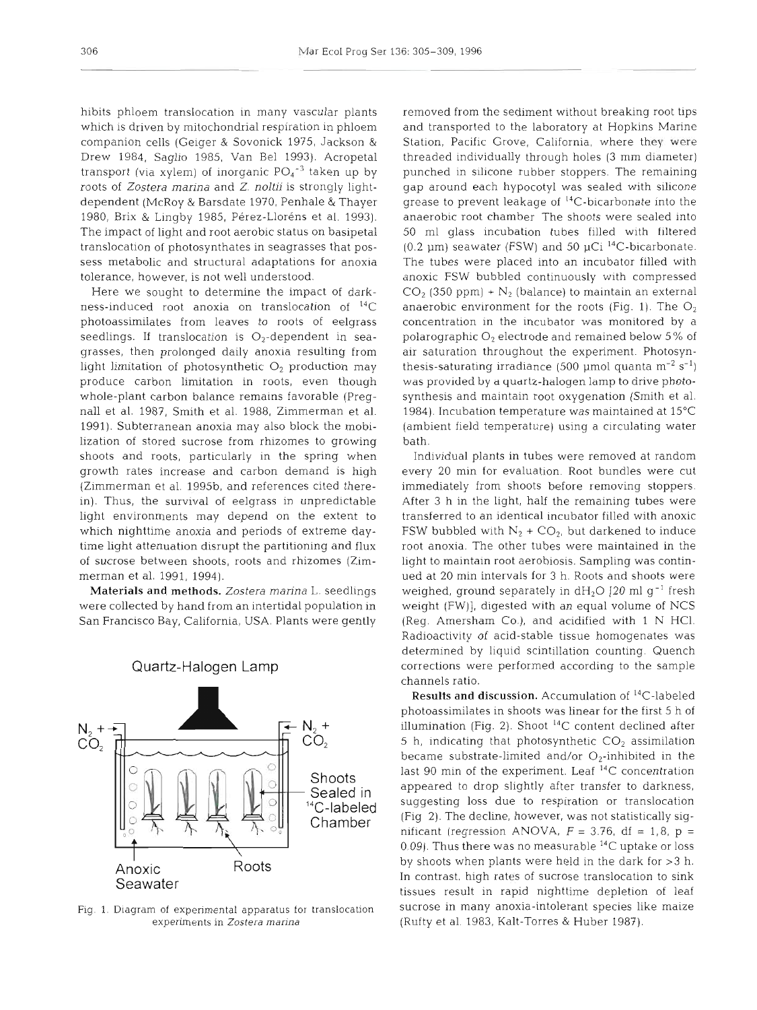hibits phloem translocation in many vascular plants which is driven by mitochondrial respiration in phloem companion cells (Geiger & Sovonick 1975, Jackson & Drew 1984, Saglio 1985, Van Be1 1993). Acropetal transport (via xylem) of inorganic  $PO_4^{-3}$  taken up by roots of *Zostera marina* and 2. *noltii* is strongly lightdependent (McRoy & Barsdate 1970, Penhale & Thayer 1980, Brix & Lingby 1985, Pérez-Lloréns et al. 1993). The impact of light and root aerobic status on basipetal translocation of photosynthates in seagrasses that possess metabolic and structural adaptations for anoxia tolerance, however, is not well understood.

Here we sought to determine the impact of darkness-induced root anoxia on translocation of  ${}^{14}C$ photoassimilates from leaves to roots of eelgrass seedlings. If translocation is  $O_2$ -dependent in seagrasses, then prolonged daily anoxia resulting from light limitation of photosynthetic  $O_2$  production may produce carbon limitation in roots, even though whole-plant carbon balance remains favorable (Pregnall et al. 1987, Smith et al. 1988, Zimmerman et al. 1991). Subterranean anoxia may also block the mobilization of stored sucrose from rhizomes to growing shoots and roots, particularly in the spring when growth rates increase and carbon demand is high (Zimmerman et al. 1995b, and references cited therein). Thus, the survival of eelgrass in unpredictable light environments may depend on the extent to which nighttime anoxia and periods of extreme daytime light attenuation disrupt the partitioning and flux of sucrose between shoots, roots and rhizomes (Zimmerman et al. 1991, 1994).

Materials and methods. *Zostera marina* L. seedlings were collected by hand from an intertidal population in San Francisco Bay, California, USA. Plants were gently



Quartz-Halogen Lamp

Fig. 1. Diagram of experimental apparatus for translocation experiments in Zostera marina

removed from the sediment without breaking root tips and transported to the laboratory at Hopkins Marine Station, Pacific Grove, California, where they were threaded individually through holes (3 mm diameter) punched in silicone rubber stoppers. The remaining gap around each hypocotyl was sealed with silicone grease to prevent leakage of <sup>14</sup>C-bicarbonate into the anaerobic root chamber The shoots were sealed into 50 m1 glass incubation tubes filled with filtered (0.2  $\mu$ m) seawater (FSW) and 50  $\mu$ Ci <sup>14</sup>C-bicarbonate. The tubes were placed into an incubator filled with anoxic FSW bubbled continuously with compressed  $CO<sub>2</sub>$  (350 ppm) + N<sub>2</sub> (balance) to maintain an external anaerobic environment for the roots (Fig. 1). The  $O_2$ concentration in the incubator was monitored by a polarographic  $O_2$  electrode and remained below 5% of air saturation throughout the experiment. Photosynthesis-saturating irradiance (500 µmol quanta  $m^{-2}$  s<sup>-1</sup>) was provided by a quartz-halogen lamp to drive photosynthesis and maintain root oxygenation (Smith et al. 1984). Incubation temperature was maintained at  $15^{\circ}$ C (ambient field temperature) using a circulating water bath.

Individual plants in tubes were removed at random every 20 min for evaluation. Root bundles were cut immediately from shoots before removing stoppers. After 3 h in the light, half the remaining tubes were transferred to an identical incubator filled with anoxic FSW bubbled with  $N_2$  + CO<sub>2</sub>, but darkened to induce root anoxia. The other tubes were maintained in the light to maintain root aerobiosis. Sampling was continued at 20 min intervals for *3* h. Roots and shoots were weighed, ground separately in  $dH_2O$  [20 ml g<sup>-1</sup> fresh weight (FW)], digested with an equal volume of NCS (Reg. Amersham Co.), and acidified with 1 N HCl. Radioactivity of acid-stable tissue homogenates was determined by liquid scintillation counting. Quench corrections were performed according to the sample channels ratio.

Results and discussion. Accumulation of <sup>14</sup>C-labeled photoassimilates in shoots was linear for the first 5 h of illumination (Fig. 2). Shoot  $^{14}C$  content declined after 5 h, indicating that photosynthetic  $CO<sub>2</sub>$  assimilation became substrate-limited and/or  $O_2$ -inhibited in the last 90 min of the experiment. Leaf  $^{14}C$  concentration appeared to drop slightly after transfer to darkness, suggesting loss due to respiration or translocation (Fig 2). The decline, however, was not statistically significant (regression ANOVA,  $F = 3.76$ , df = 1,8, p = 0.09). Thus there was no measurable  $^{14}$ C uptake or loss by shoots when plants were held in the dark for **>3** h. In contrast, high rates of sucrose translocation to sink tissues result in rapid nighttime depletion of leaf sucrose in many anoxia-intolerant species like maize (Rufty et al. 1983, Kalt-Torres & Huber 1987).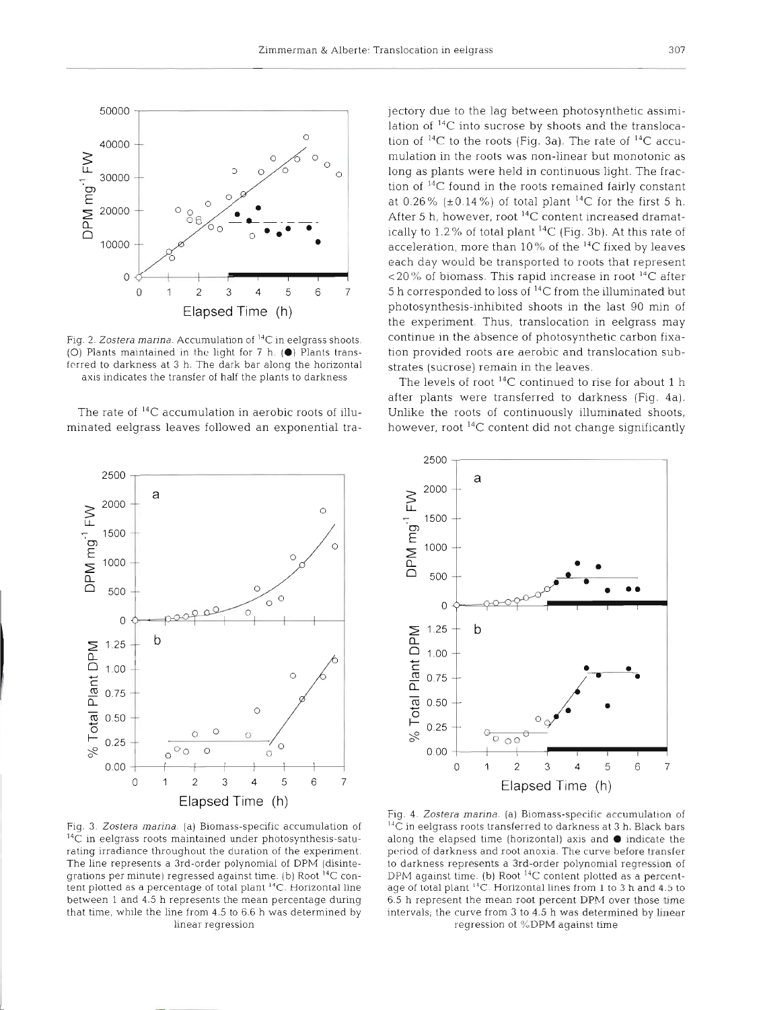

Fig. 2. Zostera marina. Accumulation of <sup>14</sup>C in eelgrass shoots. (O) Plants maintained in the light for  $7$  h. ( $\bullet$ ) Plants transferred to darkness at 3 h. The dark bar along the horizontal axis indicates the transfer of half the plants to darkness

The rate of  $^{14}C$  accumulation in aerobic roots of illuminated eelgrass leaves followed an exponential tra-

jectory due to the lag between photosynthetic assimilation of **14C** into sucrose by shoots and the translocation of <sup>14</sup>C to the roots (Fig. 3a). The rate of <sup>14</sup>C accumulation in the roots was non-linear but monotoni long as plants were held in continuous light. The fraction of **14C** found in the roots remained fairly constant at 0.26% ( $\pm$ 0.14%) of total plant <sup>14</sup>C for the first 5 h. After 5 h, however, root <sup>14</sup>C content increased dramatically to 1.2% of total plant  $^{14}C$  (Fig. 3b). At this rate of acceleration, more than  $10\%$  of the  $^{14}$ C fixed by leaves each day would be transported to roots that represent  $120\%$  of biomass. This rapid increase in root  $^{14}C$  after 5 h corresponded to loss of  $^{14}C$  from the illuminated but photosynthesis-inhibited shoots in the last 90 min of the experiment. Thus, translocation in eelgrass may continue in the absence of photosynthetic carbon fixation provided roots are aerobic and translocation substrates (sucrose) remain in the leaves.

The levels of root  $^{14}$ C continued to rise for about after plants were transferred to darkness (Fig. 4a). Unlike the roots of continuously illuminated shoots, however, root <sup>14</sup>C content did not change significantly



Fig. *3. Zostera marina* (a) Blomass-specific accumulation of **14C** in eelgrass roots maintained under photosynthesis-saturating irradiance throughout the duration of the expenment. The line represents a 3rd-order polynomial of DPM (disintegratlons per minute) regressed against time. (b) Root **I4C** content plotted as a percentage of total plant **14C.** Horizontal line between 1 and 4.5 h represents the mean percentage during that time, while the line from 4.5 to 6.6 h was determined by linear regression



Fig. 4. Zostera marina. (a) Biomass-specific accumulation of <sup>14</sup>C in eelgrass roots transferred to darkness at 3 h. Black bars along the elapsed time (horizontal) axis and  $\bullet$  indicate the period of darkness and root anoxia. The curve before transfer to darkness represents a 3rd-order polynomial regression of DPM against time. (b) Root  $^{14}C$  content plotted as a percentage of total plant <sup>14</sup>C. Horizontal lines from 1 to 3 h and 4.5 to 6 5 h represent the mean **root** percent DPM **over** those tlme intervals, the curve from 3 to 4.5 h was determined by linear regression of %DPM against time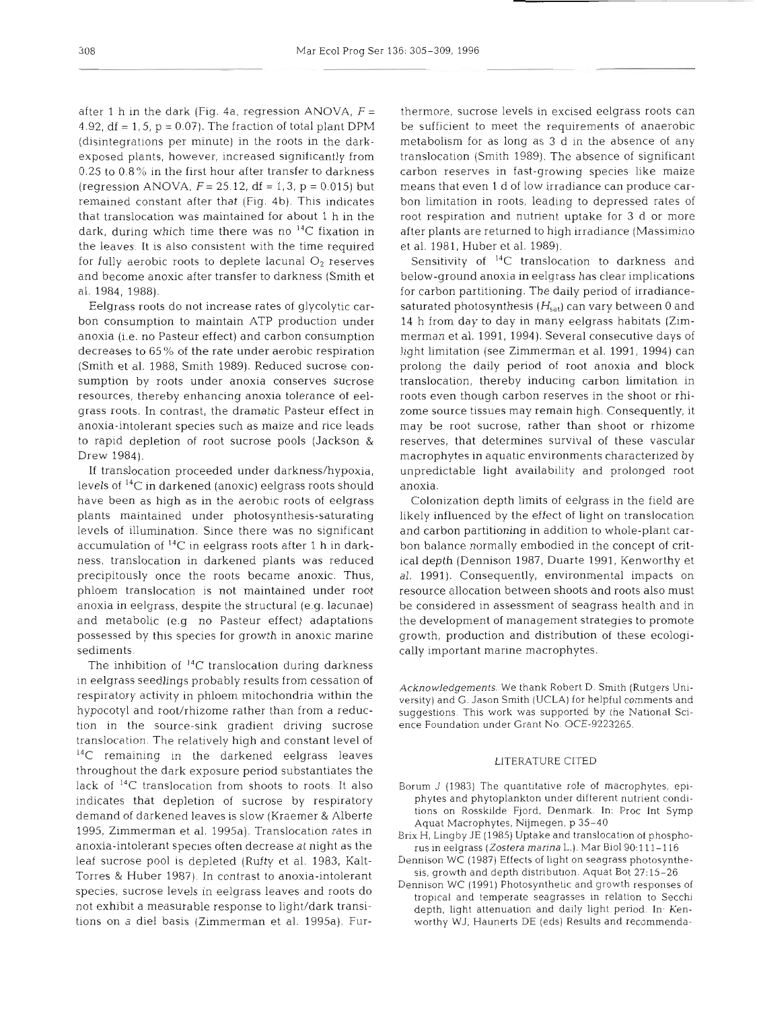after 1 h in the dark (Fig. 4a, regression ANOVA,  $F =$ 4.92,  $df = 1, 5, p = 0.07$ . The fraction of total plant DPM (disintegrations per minute) in the roots in the darkexposed plants, however, increased significantly from 0.25 to  $0.8\%$  in the first hour after transfer to darkness (regression ANOVA,  $F = 25.12$ , df = 1,3, p = 0.015) but remained constant after that (Fig. 4b). This indicates that translocation was maintained for about 1 h in the dark, during which time there was no  $^{14}C$  fixation in the leaves. It is also consistent with the time required for fully aerobic roots to deplete lacunal  $O_2$  reserves and become anoxic after transfer to darkness (Smith et al. 1984, 1988).

Eelgrass roots do not increase rates of glycolytic carbon consumption to maintain ATP production under anoxia (i.e. no Pasteur effect) and carbon consumption decreases to 65 % of the rate under aerobic respiration (Smith et al. 1988, Smith 1989). Reduced sucrose consumption by roots under anoxia conserves sucrose resources, thereby enhancing anoxia tolerance of eelgrass roots. In contrast, the dramatic Pasteur effect in anoxia-intolerant species such as maize and rice leads to rapid depletion of root sucrose pools (Jackson & Drew 1984).

If translocation proceeded under darkness/hypoxia, levels of  ${}^{14}C$  in darkened (anoxic) eelgrass roots should have been as high as in the aerobic roots of eelgrass plants maintained under photosynthesis-saturating levels of illumination. Since there was no significant accumulation of **14C** in eeIgrass roots after 1 h in darkness, translocation in darkened plants was reduced precipitously once the roots became anoxic. Thus, phloem translocation is not maintained under root anoxia in eelgrass, despite the structural (e.g. lacunae) and metabolic (e.g no Pasteur effect) adaptations possessed by this species for growth in anoxic marine sediments.

The inhibition of **I4C** translocation during darkness in eelgrass seedlings probably results from cessation of respiratory activity in phloem mitochondria within the hypocotyl and root/rhizome rather than from a reduction in the source-sink gradient driving sucrose translocation. The relatively high and constant level of <sup>14</sup>C remaining in the darkened eelgrass leaves throughout the dark exposure period substantiates the lack of 14C translocation from shoots to roots. It also indicates that depletion of sucrose by respiratory demand of darkened leaves is slow (Kraemer & Alberte 1995, Zimmerman et al. 1995a). Translocation rates in anoxia-intolerant specles often decrease at night as the leaf sucrose pool is depleted (Rufty et al. 1983, Kalt-Torres & Huber 1987). In contrast to anoxia-intolerant species, sucrose levels in eelgrass leaves and roots do not exhibit a measurable response to light/dark transitions on a die1 basis (Zimmerman et al. 1995a). Fur-

thermore, sucrose levels in excised eelgrass roots can<br>be sufficient to meet the requirements of anaerolic<br>metabolism for as long as 3 d in the absence of any<br>translocation (Smith 1989). The absence of significant<br>ramsloca

Acknowledgements. We thank Robert D. Smith (Rutgers University) and G. Jason Smith (UCLA) for helpful comments and<br>uuggestions. This work was supported by the National Sci-<br>nece Foundation under Grant No. OCE-9223265.<br>LITE

- 
- 
- 
-